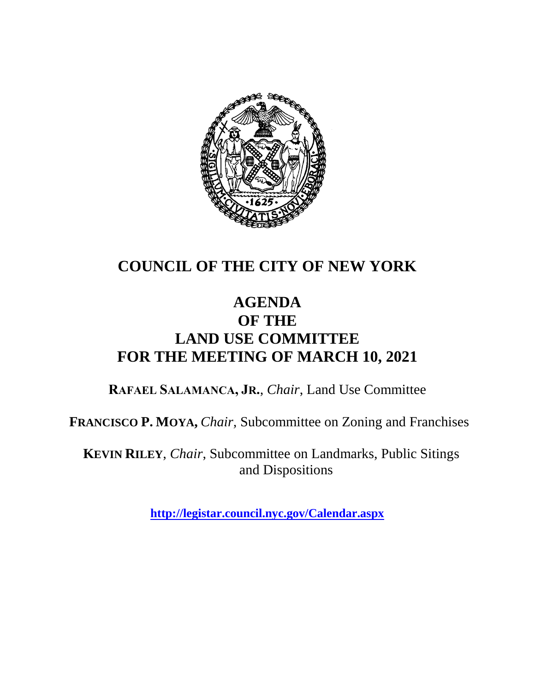

## **COUNCIL OF THE CITY OF NEW YORK**

### **AGENDA OF THE LAND USE COMMITTEE FOR THE MEETING OF MARCH 10, 2021**

**RAFAEL SALAMANCA, JR.**, *Chair*, Land Use Committee

**FRANCISCO P. MOYA,** *Chair,* Subcommittee on Zoning and Franchises

**KEVIN RILEY**, *Chair*, Subcommittee on Landmarks, Public Sitings and Dispositions

**<http://legistar.council.nyc.gov/Calendar.aspx>**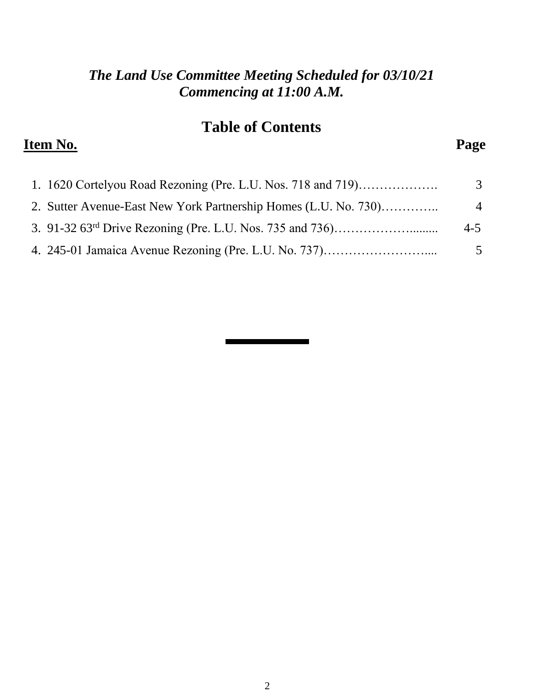#### *The Land Use Committee Meeting Scheduled for 03/10/21 Commencing at 11:00 A.M.*

## **Table of Contents**

### **Item No. Page**

| 1. 1620 Cortelyou Road Rezoning (Pre. L.U. Nos. 718 and 719)    | 3              |
|-----------------------------------------------------------------|----------------|
| 2. Sutter Avenue-East New York Partnership Homes (L.U. No. 730) | $\overline{4}$ |
|                                                                 | $4 - 5$        |
| 4. 245-01 Jamaica Avenue Rezoning (Pre. L.U. No. 737)           | 5              |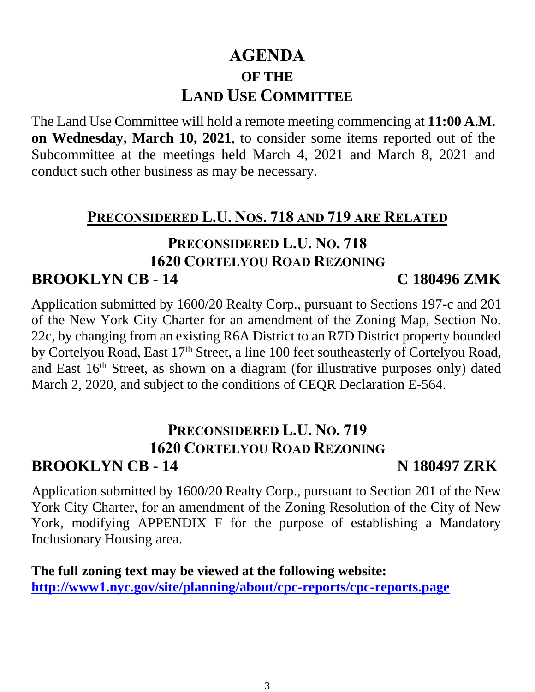## **AGENDA OF THE LAND USE COMMITTEE**

The Land Use Committee will hold a remote meeting commencing at **11:00 A.M. on Wednesday, March 10, 2021**, to consider some items reported out of the Subcommittee at the meetings held March 4, 2021 and March 8, 2021 and conduct such other business as may be necessary.

#### **PRECONSIDERED L.U. NOS. 718 AND 719 ARE RELATED**

#### **PRECONSIDERED L.U. NO. 718 1620 CORTELYOU ROAD REZONING BROOKLYN CB - 14 C 180496 ZMK**

Application submitted by 1600/20 Realty Corp., pursuant to Sections 197-c and 201 of the New York City Charter for an amendment of the Zoning Map, Section No. 22c, by changing from an existing R6A District to an R7D District property bounded by Cortelyou Road, East 17<sup>th</sup> Street, a line 100 feet southeasterly of Cortelyou Road, and East  $16<sup>th</sup>$  Street, as shown on a diagram (for illustrative purposes only) dated March 2, 2020, and subject to the conditions of CEQR Declaration E-564.

#### **PRECONSIDERED L.U. NO. 719 1620 CORTELYOU ROAD REZONING BROOKLYN CB - 14 N 180497 ZRK**

Application submitted by 1600/20 Realty Corp., pursuant to Section 201 of the New York City Charter, for an amendment of the Zoning Resolution of the City of New York, modifying APPENDIX F for the purpose of establishing a Mandatory Inclusionary Housing area.

**The full zoning text may be viewed at the following website: <http://www1.nyc.gov/site/planning/about/cpc-reports/cpc-reports.page>**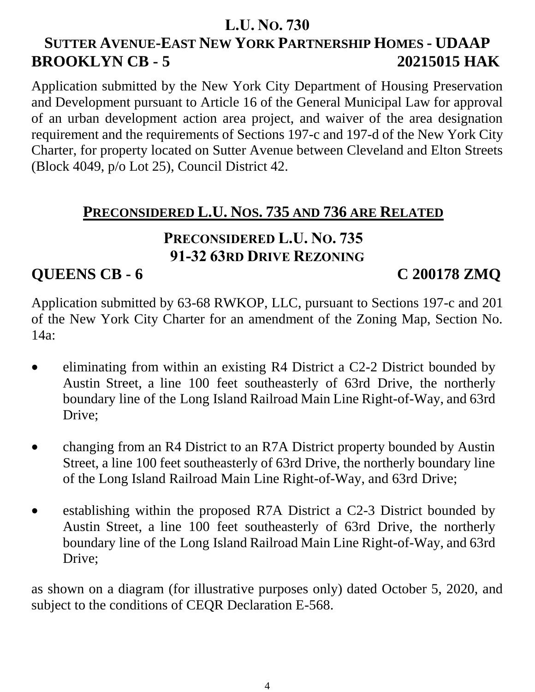#### **L.U. NO. 730**

## **SUTTER AVENUE-EAST NEW YORK PARTNERSHIP HOMES - UDAAP BROOKLYN CB - 5 20215015 HAK**

Application submitted by the New York City Department of Housing Preservation and Development pursuant to Article 16 of the General Municipal Law for approval of an urban development action area project, and waiver of the area designation requirement and the requirements of Sections 197-c and 197-d of the New York City Charter, for property located on Sutter Avenue between Cleveland and Elton Streets (Block 4049, p/o Lot 25), Council District 42.

### **PRECONSIDERED L.U. NOS. 735 AND 736 ARE RELATED**

## **PRECONSIDERED L.U. NO. 735 91-32 63RD DRIVE REZONING**

### **QUEENS CB - 6 C 200178 ZMQ**

Application submitted by 63-68 RWKOP, LLC, pursuant to Sections 197-c and 201 of the New York City Charter for an amendment of the Zoning Map, Section No. 14a:

- eliminating from within an existing R4 District a C2-2 District bounded by Austin Street, a line 100 feet southeasterly of 63rd Drive, the northerly boundary line of the Long Island Railroad Main Line Right-of-Way, and 63rd Drive;
- changing from an R4 District to an R7A District property bounded by Austin Street, a line 100 feet southeasterly of 63rd Drive, the northerly boundary line of the Long Island Railroad Main Line Right-of-Way, and 63rd Drive;
- establishing within the proposed R7A District a C2-3 District bounded by Austin Street, a line 100 feet southeasterly of 63rd Drive, the northerly boundary line of the Long Island Railroad Main Line Right-of-Way, and 63rd Drive;

as shown on a diagram (for illustrative purposes only) dated October 5, 2020, and subject to the conditions of CEQR Declaration E-568.